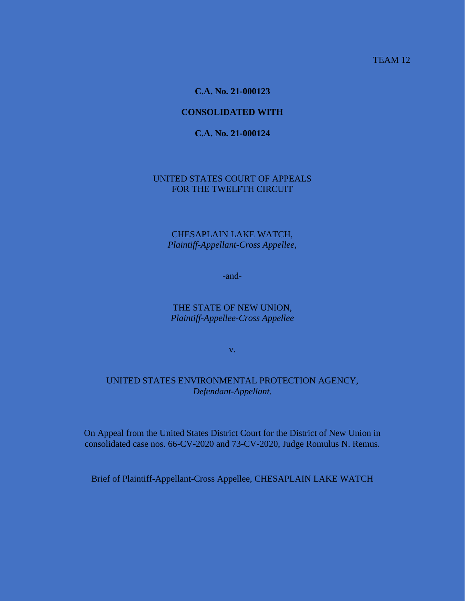TEAM 12

**C.A. No. 21-000123**

## **CONSOLIDATED WITH**

## **C.A. No. 21-000124**

## UNITED STATES COURT OF APPEALS FOR THE TWELFTH CIRCUIT

## CHESAPLAIN LAKE WATCH, *Plaintiff-Appellant-Cross Appellee,*

-and-

## THE STATE OF NEW UNION, *Plaintiff-Appellee-Cross Appellee*

v.

# UNITED STATES ENVIRONMENTAL PROTECTION AGENCY, *Defendant-Appellant.*

On Appeal from the United States District Court for the District of New Union in consolidated case nos. 66-CV-2020 and 73-CV-2020, Judge Romulus N. Remus.

Brief of Plaintiff-Appellant-Cross Appellee, CHESAPLAIN LAKE WATCH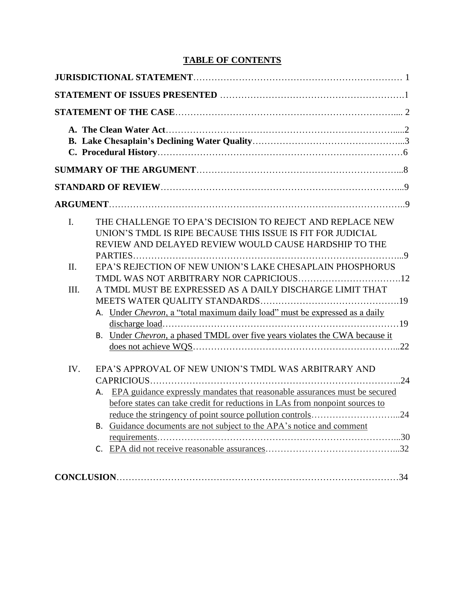# **TABLE OF CONTENTS**

| I.   | THE CHALLENGE TO EPA'S DECISION TO REJECT AND REPLACE NEW<br>UNION'S TMDL IS RIPE BECAUSE THIS ISSUE IS FIT FOR JUDICIAL<br>REVIEW AND DELAYED REVIEW WOULD CAUSE HARDSHIP TO THE                                                                                                              |
|------|------------------------------------------------------------------------------------------------------------------------------------------------------------------------------------------------------------------------------------------------------------------------------------------------|
| II.  | EPA'S REJECTION OF NEW UNION'S LAKE CHESAPLAIN PHOSPHORUS                                                                                                                                                                                                                                      |
| III. | A TMDL MUST BE EXPRESSED AS A DAILY DISCHARGE LIMIT THAT<br>A. Under Chevron, a "total maximum daily load" must be expressed as a daily<br>B. Under Chevron, a phased TMDL over five years violates the CWA because it                                                                         |
| IV.  | EPA'S APPROVAL OF NEW UNION'S TMDL WAS ARBITRARY AND<br>A. EPA guidance expressly mandates that reasonable assurances must be secured<br>before states can take credit for reductions in LAs from nonpoint sources to<br>B. Guidance documents are not subject to the APA's notice and comment |
|      |                                                                                                                                                                                                                                                                                                |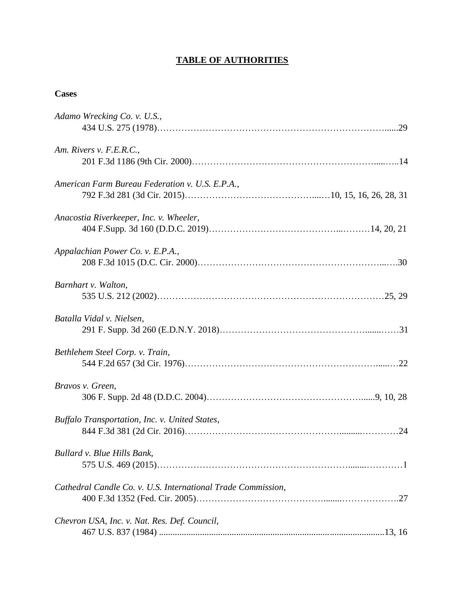# **TABLE OF AUTHORITIES**

# **Cases**

| Adamo Wrecking Co. v. U.S.,                                  |
|--------------------------------------------------------------|
| Am. Rivers v. F.E.R.C.,                                      |
| American Farm Bureau Federation v. U.S. E.P.A.,              |
| Anacostia Riverkeeper, Inc. v. Wheeler,                      |
| Appalachian Power Co. v. E.P.A.,                             |
| Barnhart v. Walton,                                          |
| Batalla Vidal v. Nielsen,                                    |
| Bethlehem Steel Corp. v. Train,                              |
| Bravos v. Green,                                             |
| Buffalo Transportation, Inc. v. United States,               |
| Bullard v. Blue Hills Bank,                                  |
| Cathedral Candle Co. v. U.S. International Trade Commission, |
| Chevron USA, Inc. v. Nat. Res. Def. Council,                 |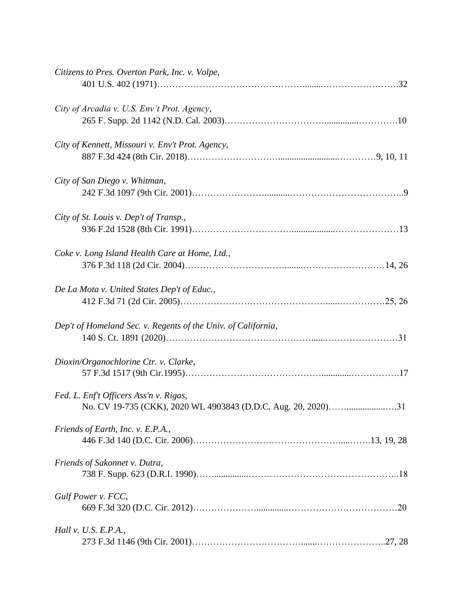| Citizens to Pres. Overton Park, Inc. v. Volpe,                |
|---------------------------------------------------------------|
|                                                               |
| City of Arcadia v. U.S. Env't Prot. Agency,                   |
|                                                               |
| City of Kennett, Missouri v. Env't Prot. Agency,              |
|                                                               |
| City of San Diego v. Whitman,                                 |
|                                                               |
| City of St. Louis v. Dep't of Transp.,                        |
|                                                               |
| Coke v. Long Island Health Care at Home, Ltd.,                |
|                                                               |
|                                                               |
| De La Mota v. United States Dep't of Educ.,                   |
|                                                               |
| Dep't of Homeland Sec. v. Regents of the Univ. of California, |
|                                                               |
| Dioxin/Organochlorine Ctr. v. Clarke,                         |
|                                                               |
| Fed. L. Enf't Officers Ass'n v. Rigas,                        |
| No. CV 19-735 (CKK), 2020 WL 4903843 (D.D.C. Aug. 20, 2020)31 |
| Friends of Earth, Inc. v. E.P.A.,                             |
|                                                               |
| Friends of Sakonnet v. Dutra,                                 |
|                                                               |
| Gulf Power v. FCC,                                            |
|                                                               |
| Hall v. U.S. E.P.A.,                                          |
|                                                               |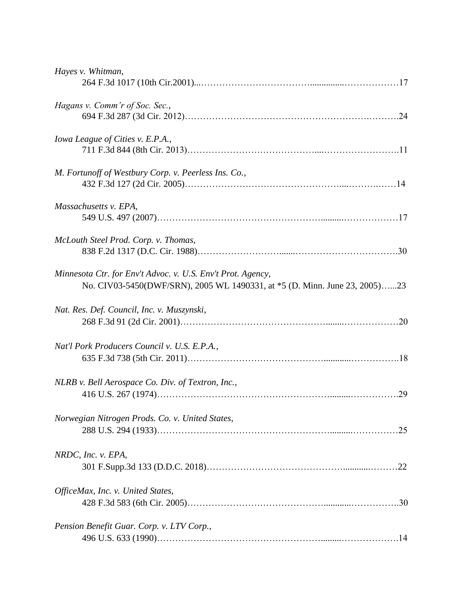| Hayes v. Whitman,                                                                                                                         |
|-------------------------------------------------------------------------------------------------------------------------------------------|
| Hagans v. Comm'r of Soc. Sec.,                                                                                                            |
| Iowa League of Cities v. E.P.A.,                                                                                                          |
| M. Fortunoff of Westbury Corp. v. Peerless Ins. Co.,                                                                                      |
| Massachusetts v. EPA,                                                                                                                     |
| McLouth Steel Prod. Corp. v. Thomas,                                                                                                      |
| Minnesota Ctr. for Env't Advoc. v. U.S. Env't Prot. Agency,<br>No. CIV03-5450(DWF/SRN), 2005 WL 1490331, at *5 (D. Minn. June 23, 2005)23 |
| Nat. Res. Def. Council, Inc. v. Muszynski,                                                                                                |
| Nat'l Pork Producers Council v. U.S. E.P.A.,                                                                                              |
| NLRB v. Bell Aerospace Co. Div. of Textron, Inc.,                                                                                         |
| Norwegian Nitrogen Prods. Co. v. United States,                                                                                           |
| NRDC, Inc. v. EPA,                                                                                                                        |
| OfficeMax, Inc. v. United States,                                                                                                         |
| Pension Benefit Guar. Corp. v. LTV Corp.,                                                                                                 |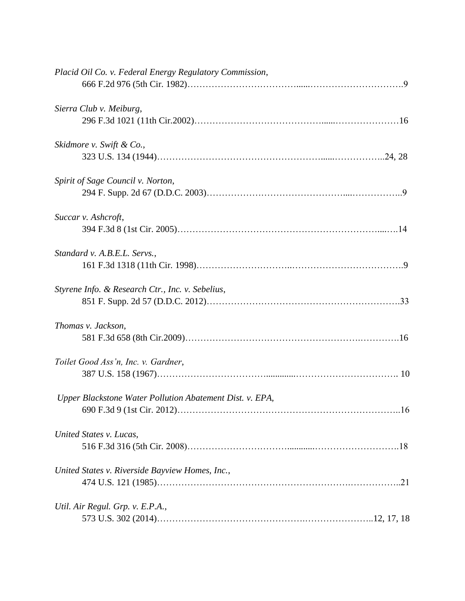| Placid Oil Co. v. Federal Energy Regulatory Commission,  |
|----------------------------------------------------------|
| Sierra Club v. Meiburg,                                  |
| Skidmore v. Swift & Co.,                                 |
| Spirit of Sage Council v. Norton,                        |
| Succar v. Ashcroft,                                      |
| Standard v. A.B.E.L. Servs.,                             |
| Styrene Info. & Research Ctr., Inc. v. Sebelius,         |
| Thomas v. Jackson,                                       |
| Toilet Good Ass'n, Inc. v. Gardner,                      |
| Upper Blackstone Water Pollution Abatement Dist. v. EPA, |
| United States v. Lucas,                                  |
| United States v. Riverside Bayview Homes, Inc.,          |
| Util. Air Regul. Grp. v. E.P.A.,                         |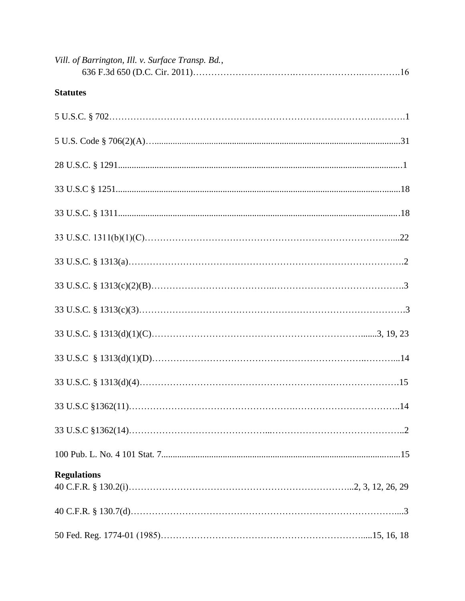| Vill. of Barrington, Ill. v. Surface Transp. Bd., |
|---------------------------------------------------|
| <b>Statutes</b>                                   |
|                                                   |
|                                                   |
|                                                   |
|                                                   |
|                                                   |
|                                                   |
|                                                   |
|                                                   |
|                                                   |
|                                                   |
|                                                   |
|                                                   |
|                                                   |
|                                                   |
|                                                   |
| <b>Regulations</b>                                |
|                                                   |
|                                                   |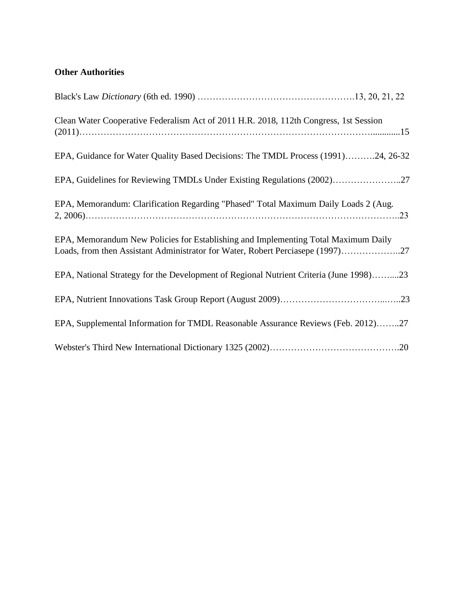# **Other Authorities**

| Clean Water Cooperative Federalism Act of 2011 H.R. 2018, 112th Congress, 1st Session                                                                                |
|----------------------------------------------------------------------------------------------------------------------------------------------------------------------|
| EPA, Guidance for Water Quality Based Decisions: The TMDL Process (1991)24, 26-32                                                                                    |
| EPA, Guidelines for Reviewing TMDLs Under Existing Regulations (2002)27                                                                                              |
| EPA, Memorandum: Clarification Regarding "Phased" Total Maximum Daily Loads 2 (Aug.                                                                                  |
| EPA, Memorandum New Policies for Establishing and Implementing Total Maximum Daily<br>Loads, from then Assistant Administrator for Water, Robert Perciasepe (1997)27 |
| EPA, National Strategy for the Development of Regional Nutrient Criteria (June 1998)23                                                                               |
|                                                                                                                                                                      |
| EPA, Supplemental Information for TMDL Reasonable Assurance Reviews (Feb. 2012)27                                                                                    |
|                                                                                                                                                                      |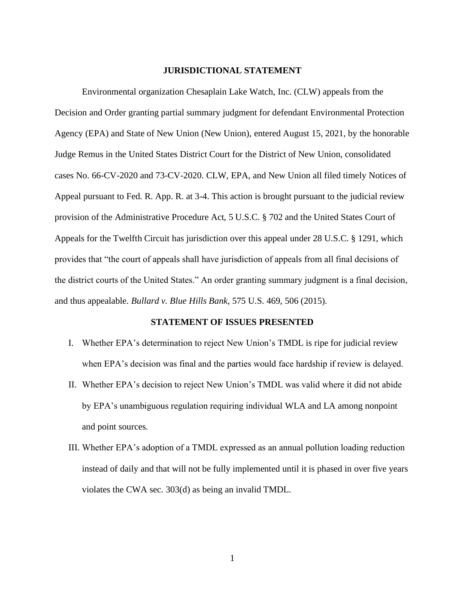#### **JURISDICTIONAL STATEMENT**

Environmental organization Chesaplain Lake Watch, Inc. (CLW) appeals from the Decision and Order granting partial summary judgment for defendant Environmental Protection Agency (EPA) and State of New Union (New Union), entered August 15, 2021, by the honorable Judge Remus in the United States District Court for the District of New Union, consolidated cases No. 66-CV-2020 and 73-CV-2020. CLW, EPA, and New Union all filed timely Notices of Appeal pursuant to Fed. R. App. R. at 3-4. This action is brought pursuant to the judicial review provision of the Administrative Procedure Act, 5 U.S.C. § 702 and the United States Court of Appeals for the Twelfth Circuit has jurisdiction over this appeal under 28 U.S.C. § 1291, which provides that "the court of appeals shall have jurisdiction of appeals from all final decisions of the district courts of the United States." An order granting summary judgment is a final decision, and thus appealable. *Bullard v. Blue Hills Bank*, 575 U.S. 469, 506 (2015).

### **STATEMENT OF ISSUES PRESENTED**

- I. Whether EPA's determination to reject New Union's TMDL is ripe for judicial review when EPA's decision was final and the parties would face hardship if review is delayed.
- II. Whether EPA's decision to reject New Union's TMDL was valid where it did not abide by EPA's unambiguous regulation requiring individual WLA and LA among nonpoint and point sources.
- III. Whether EPA's adoption of a TMDL expressed as an annual pollution loading reduction instead of daily and that will not be fully implemented until it is phased in over five years violates the CWA sec. 303(d) as being an invalid TMDL.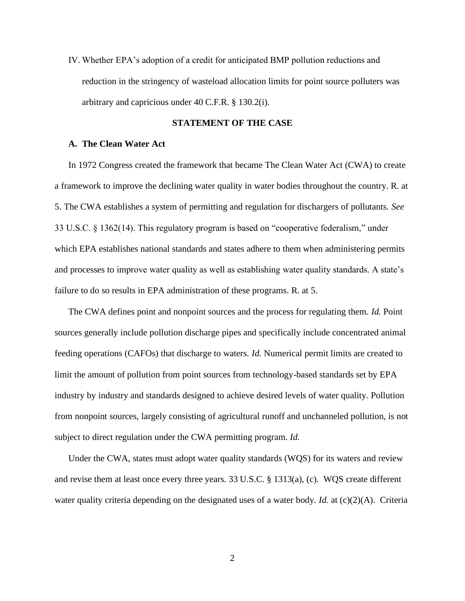IV. Whether EPA's adoption of a credit for anticipated BMP pollution reductions and reduction in the stringency of wasteload allocation limits for point source polluters was arbitrary and capricious under 40 C.F.R. § 130.2(i).

### **STATEMENT OF THE CASE**

#### **A. The Clean Water Act**

In 1972 Congress created the framework that became The Clean Water Act (CWA) to create a framework to improve the declining water quality in water bodies throughout the country. R. at 5. The CWA establishes a system of permitting and regulation for dischargers of pollutants. *See* 33 U.S.C. § 1362(14). This regulatory program is based on "cooperative federalism," under which EPA establishes national standards and states adhere to them when administering permits and processes to improve water quality as well as establishing water quality standards. A state's failure to do so results in EPA administration of these programs. R. at 5.

The CWA defines point and nonpoint sources and the process for regulating them. *Id.* Point sources generally include pollution discharge pipes and specifically include concentrated animal feeding operations (CAFOs) that discharge to waters. *Id.* Numerical permit limits are created to limit the amount of pollution from point sources from technology-based standards set by EPA industry by industry and standards designed to achieve desired levels of water quality. Pollution from nonpoint sources, largely consisting of agricultural runoff and unchanneled pollution, is not subject to direct regulation under the CWA permitting program. *Id.*

Under the CWA, states must adopt water quality standards (WQS) for its waters and review and revise them at least once every three years. 33 U.S.C. § 1313(a), (c). WQS create different water quality criteria depending on the designated uses of a water body. *Id.* at (c)(2)(A). Criteria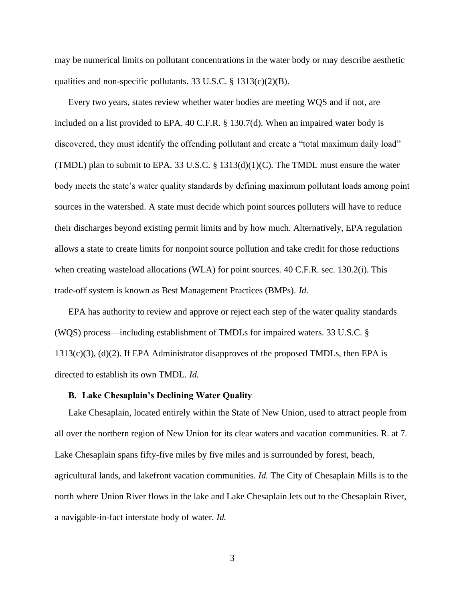may be numerical limits on pollutant concentrations in the water body or may describe aesthetic qualities and non-specific pollutants. 33 U.S.C.  $\S$  1313(c)(2)(B).

Every two years, states review whether water bodies are meeting WQS and if not, are included on a list provided to EPA. 40 C.F.R. § 130.7(d). When an impaired water body is discovered, they must identify the offending pollutant and create a "total maximum daily load" (TMDL) plan to submit to EPA. 33 U.S.C. §  $1313(d)(1)(C)$ . The TMDL must ensure the water body meets the state's water quality standards by defining maximum pollutant loads among point sources in the watershed. A state must decide which point sources polluters will have to reduce their discharges beyond existing permit limits and by how much. Alternatively, EPA regulation allows a state to create limits for nonpoint source pollution and take credit for those reductions when creating wasteload allocations (WLA) for point sources. 40 C.F.R. sec. 130.2(i). This trade-off system is known as Best Management Practices (BMPs). *Id.*

EPA has authority to review and approve or reject each step of the water quality standards (WQS) process—including establishment of TMDLs for impaired waters. 33 U.S.C. § 1313(c)(3), (d)(2). If EPA Administrator disapproves of the proposed TMDLs, then EPA is directed to establish its own TMDL. *Id.*

#### **B. Lake Chesaplain's Declining Water Quality**

Lake Chesaplain, located entirely within the State of New Union, used to attract people from all over the northern region of New Union for its clear waters and vacation communities. R. at 7. Lake Chesaplain spans fifty-five miles by five miles and is surrounded by forest, beach, agricultural lands, and lakefront vacation communities. *Id.* The City of Chesaplain Mills is to the north where Union River flows in the lake and Lake Chesaplain lets out to the Chesaplain River, a navigable-in-fact interstate body of water. *Id.*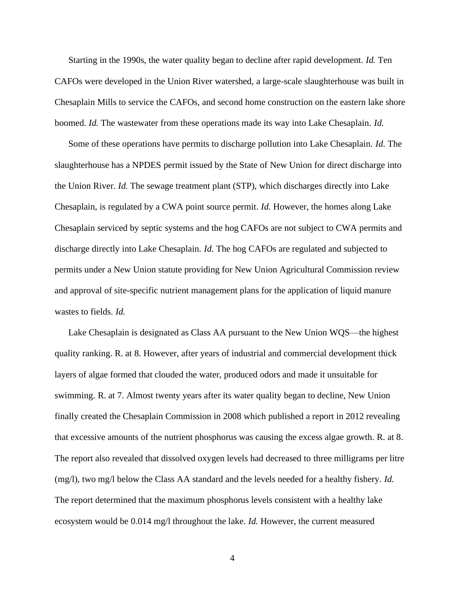Starting in the 1990s, the water quality began to decline after rapid development. *Id.* Ten CAFOs were developed in the Union River watershed, a large-scale slaughterhouse was built in Chesaplain Mills to service the CAFOs, and second home construction on the eastern lake shore boomed. *Id.* The wastewater from these operations made its way into Lake Chesaplain. *Id.*

Some of these operations have permits to discharge pollution into Lake Chesaplain. *Id.* The slaughterhouse has a NPDES permit issued by the State of New Union for direct discharge into the Union River. *Id.* The sewage treatment plant (STP), which discharges directly into Lake Chesaplain, is regulated by a CWA point source permit. *Id.* However, the homes along Lake Chesaplain serviced by septic systems and the hog CAFOs are not subject to CWA permits and discharge directly into Lake Chesaplain. *Id.* The hog CAFOs are regulated and subjected to permits under a New Union statute providing for New Union Agricultural Commission review and approval of site-specific nutrient management plans for the application of liquid manure wastes to fields. *Id.*

Lake Chesaplain is designated as Class AA pursuant to the New Union WQS—the highest quality ranking. R. at 8. However, after years of industrial and commercial development thick layers of algae formed that clouded the water, produced odors and made it unsuitable for swimming. R. at 7. Almost twenty years after its water quality began to decline, New Union finally created the Chesaplain Commission in 2008 which published a report in 2012 revealing that excessive amounts of the nutrient phosphorus was causing the excess algae growth. R. at 8. The report also revealed that dissolved oxygen levels had decreased to three milligrams per litre (mg/l), two mg/l below the Class AA standard and the levels needed for a healthy fishery. *Id.*  The report determined that the maximum phosphorus levels consistent with a healthy lake ecosystem would be 0.014 mg/l throughout the lake. *Id.* However, the current measured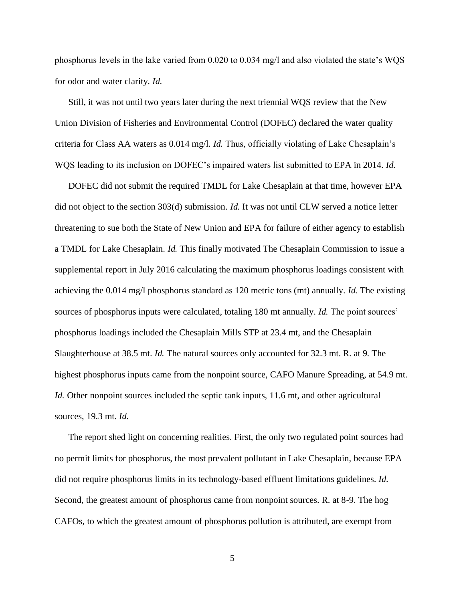phosphorus levels in the lake varied from 0.020 to 0.034 mg/l and also violated the state's WQS for odor and water clarity. *Id.*

Still, it was not until two years later during the next triennial WQS review that the New Union Division of Fisheries and Environmental Control (DOFEC) declared the water quality criteria for Class AA waters as 0.014 mg/l. *Id.* Thus, officially violating of Lake Chesaplain's WQS leading to its inclusion on DOFEC's impaired waters list submitted to EPA in 2014. *Id.*

DOFEC did not submit the required TMDL for Lake Chesaplain at that time, however EPA did not object to the section 303(d) submission. *Id.* It was not until CLW served a notice letter threatening to sue both the State of New Union and EPA for failure of either agency to establish a TMDL for Lake Chesaplain. *Id.* This finally motivated The Chesaplain Commission to issue a supplemental report in July 2016 calculating the maximum phosphorus loadings consistent with achieving the 0.014 mg/l phosphorus standard as 120 metric tons (mt) annually. *Id.* The existing sources of phosphorus inputs were calculated, totaling 180 mt annually. *Id.* The point sources' phosphorus loadings included the Chesaplain Mills STP at 23.4 mt, and the Chesaplain Slaughterhouse at 38.5 mt. *Id.* The natural sources only accounted for 32.3 mt. R. at 9. The highest phosphorus inputs came from the nonpoint source, CAFO Manure Spreading, at 54.9 mt. *Id.* Other nonpoint sources included the septic tank inputs, 11.6 mt, and other agricultural sources, 19.3 mt. *Id.*

The report shed light on concerning realities. First, the only two regulated point sources had no permit limits for phosphorus, the most prevalent pollutant in Lake Chesaplain, because EPA did not require phosphorus limits in its technology-based effluent limitations guidelines. *Id.* Second, the greatest amount of phosphorus came from nonpoint sources. R. at 8-9. The hog CAFOs, to which the greatest amount of phosphorus pollution is attributed, are exempt from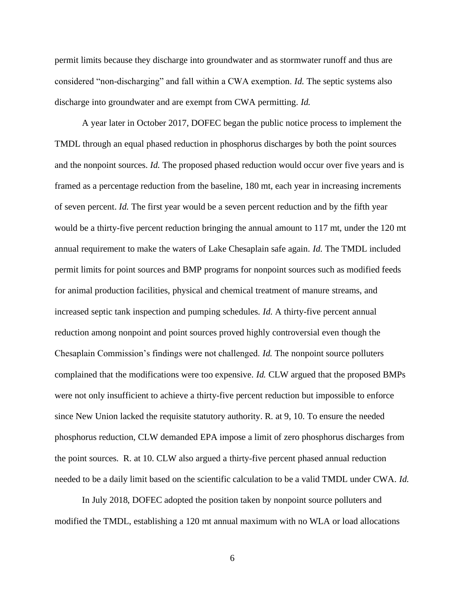permit limits because they discharge into groundwater and as stormwater runoff and thus are considered "non-discharging" and fall within a CWA exemption. *Id.* The septic systems also discharge into groundwater and are exempt from CWA permitting. *Id.*

A year later in October 2017, DOFEC began the public notice process to implement the TMDL through an equal phased reduction in phosphorus discharges by both the point sources and the nonpoint sources. *Id.* The proposed phased reduction would occur over five years and is framed as a percentage reduction from the baseline, 180 mt, each year in increasing increments of seven percent. *Id.* The first year would be a seven percent reduction and by the fifth year would be a thirty-five percent reduction bringing the annual amount to 117 mt, under the 120 mt annual requirement to make the waters of Lake Chesaplain safe again. *Id.* The TMDL included permit limits for point sources and BMP programs for nonpoint sources such as modified feeds for animal production facilities, physical and chemical treatment of manure streams, and increased septic tank inspection and pumping schedules. *Id.* A thirty-five percent annual reduction among nonpoint and point sources proved highly controversial even though the Chesaplain Commission's findings were not challenged. *Id.* The nonpoint source polluters complained that the modifications were too expensive. *Id.* CLW argued that the proposed BMPs were not only insufficient to achieve a thirty-five percent reduction but impossible to enforce since New Union lacked the requisite statutory authority. R. at 9, 10. To ensure the needed phosphorus reduction, CLW demanded EPA impose a limit of zero phosphorus discharges from the point sources. R. at 10. CLW also argued a thirty-five percent phased annual reduction needed to be a daily limit based on the scientific calculation to be a valid TMDL under CWA. *Id.*

In July 2018, DOFEC adopted the position taken by nonpoint source polluters and modified the TMDL, establishing a 120 mt annual maximum with no WLA or load allocations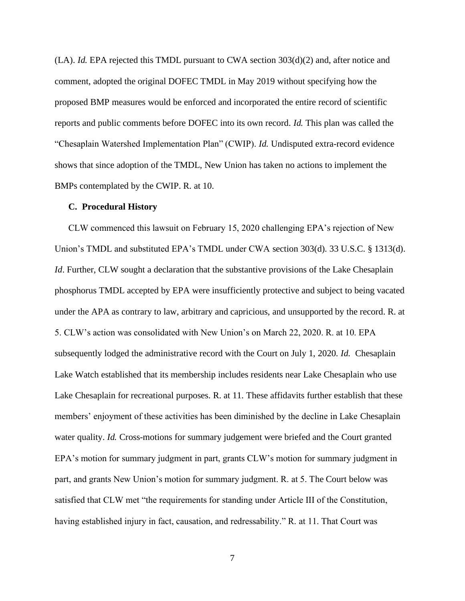$(LA)$ . *Id.* EPA rejected this TMDL pursuant to CWA section  $303(d)(2)$  and, after notice and comment, adopted the original DOFEC TMDL in May 2019 without specifying how the proposed BMP measures would be enforced and incorporated the entire record of scientific reports and public comments before DOFEC into its own record. *Id.* This plan was called the "Chesaplain Watershed Implementation Plan" (CWIP). *Id.* Undisputed extra-record evidence shows that since adoption of the TMDL, New Union has taken no actions to implement the BMPs contemplated by the CWIP. R. at 10.

#### **C. Procedural History**

CLW commenced this lawsuit on February 15, 2020 challenging EPA's rejection of New Union's TMDL and substituted EPA's TMDL under CWA section 303(d). 33 U.S.C. § 1313(d). *Id*. Further, CLW sought a declaration that the substantive provisions of the Lake Chesaplain phosphorus TMDL accepted by EPA were insufficiently protective and subject to being vacated under the APA as contrary to law, arbitrary and capricious, and unsupported by the record. R. at 5. CLW's action was consolidated with New Union's on March 22, 2020. R. at 10. EPA subsequently lodged the administrative record with the Court on July 1, 2020. *Id.* Chesaplain Lake Watch established that its membership includes residents near Lake Chesaplain who use Lake Chesaplain for recreational purposes. R. at 11. These affidavits further establish that these members' enjoyment of these activities has been diminished by the decline in Lake Chesaplain water quality. *Id.* Cross-motions for summary judgement were briefed and the Court granted EPA's motion for summary judgment in part, grants CLW's motion for summary judgment in part, and grants New Union's motion for summary judgment. R. at 5. The Court below was satisfied that CLW met "the requirements for standing under Article III of the Constitution, having established injury in fact, causation, and redressability." R. at 11. That Court was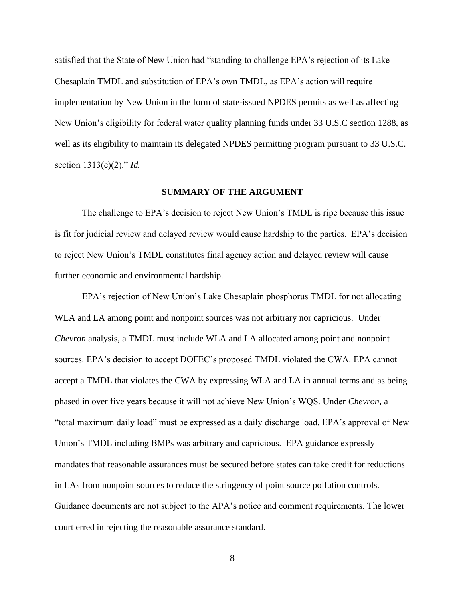satisfied that the State of New Union had "standing to challenge EPA's rejection of its Lake Chesaplain TMDL and substitution of EPA's own TMDL, as EPA's action will require implementation by New Union in the form of state-issued NPDES permits as well as affecting New Union's eligibility for federal water quality planning funds under 33 U.S.C section 1288, as well as its eligibility to maintain its delegated NPDES permitting program pursuant to 33 U.S.C. section 1313(e)(2)." *Id.*

#### **SUMMARY OF THE ARGUMENT**

The challenge to EPA's decision to reject New Union's TMDL is ripe because this issue is fit for judicial review and delayed review would cause hardship to the parties. EPA's decision to reject New Union's TMDL constitutes final agency action and delayed review will cause further economic and environmental hardship.

EPA's rejection of New Union's Lake Chesaplain phosphorus TMDL for not allocating WLA and LA among point and nonpoint sources was not arbitrary nor capricious. Under *Chevron* analysis, a TMDL must include WLA and LA allocated among point and nonpoint sources. EPA's decision to accept DOFEC's proposed TMDL violated the CWA. EPA cannot accept a TMDL that violates the CWA by expressing WLA and LA in annual terms and as being phased in over five years because it will not achieve New Union's WQS. Under *Chevron*, a "total maximum daily load" must be expressed as a daily discharge load. EPA's approval of New Union's TMDL including BMPs was arbitrary and capricious. EPA guidance expressly mandates that reasonable assurances must be secured before states can take credit for reductions in LAs from nonpoint sources to reduce the stringency of point source pollution controls. Guidance documents are not subject to the APA's notice and comment requirements. The lower court erred in rejecting the reasonable assurance standard.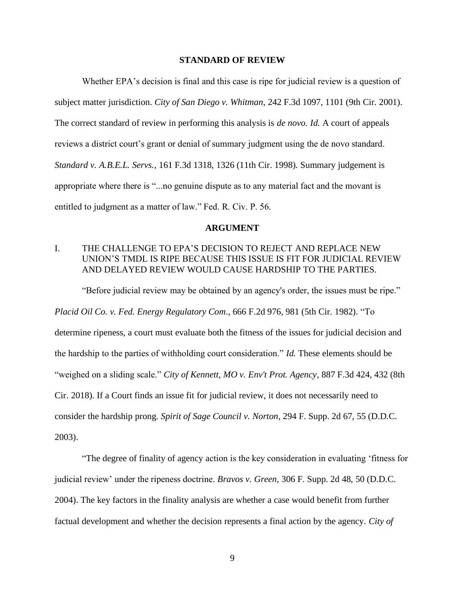#### **STANDARD OF REVIEW**

Whether EPA's decision is final and this case is ripe for judicial review is a question of subject matter jurisdiction. *City of San Diego v. Whitman*, 242 F.3d 1097, 1101 (9th Cir. 2001). The correct standard of review in performing this analysis is *de novo. Id.* A court of appeals reviews a district court's grant or denial of summary judgment using the de novo standard. *Standard v. A.B.E.L. Servs.*, 161 F.3d 1318, 1326 (11th Cir. 1998). Summary judgement is appropriate where there is "...no genuine dispute as to any material fact and the movant is entitled to judgment as a matter of law." Fed. R. Civ. P. 56.

#### **ARGUMENT**

# I. THE CHALLENGE TO EPA'S DECISION TO REJECT AND REPLACE NEW UNION'S TMDL IS RIPE BECAUSE THIS ISSUE IS FIT FOR JUDICIAL REVIEW AND DELAYED REVIEW WOULD CAUSE HARDSHIP TO THE PARTIES.

"Before judicial review may be obtained by an agency's order, the issues must be ripe."

*Placid Oil Co. v. Fed. Energy Regulatory Com*., 666 F.2d 976, 981 (5th Cir. 1982). "To

determine ripeness, a court must evaluate both the fitness of the issues for judicial decision and the hardship to the parties of withholding court consideration." *Id.* These elements should be "weighed on a sliding scale." *City of Kennett, MO v. Env't Prot. Agency*, 887 F.3d 424, 432 (8th Cir. 2018). If a Court finds an issue fit for judicial review, it does not necessarily need to consider the hardship prong. *Spirit of Sage Council v. Norton*, 294 F. Supp. 2d 67, 55 (D.D.C. 2003).

"The degree of finality of agency action is the key consideration in evaluating 'fitness for judicial review' under the ripeness doctrine. *Bravos v. Green*, 306 F. Supp. 2d 48, 50 (D.D.C. 2004). The key factors in the finality analysis are whether a case would benefit from further factual development and whether the decision represents a final action by the agency. *City of*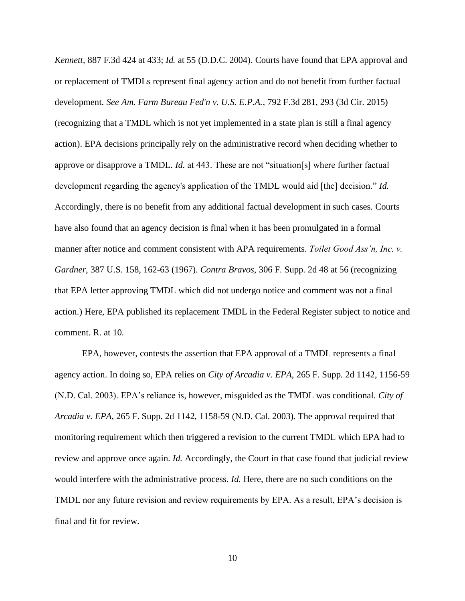*Kennett,* 887 F.3d 424 at 433; *Id.* at 55 (D.D.C. 2004). Courts have found that EPA approval and or replacement of TMDLs represent final agency action and do not benefit from further factual development. *See Am. Farm Bureau Fed'n v. U.S. E.P.A.*, 792 F.3d 281, 293 (3d Cir. 2015) (recognizing that a TMDL which is not yet implemented in a state plan is still a final agency action). EPA decisions principally rely on the administrative record when deciding whether to approve or disapprove a TMDL. *Id.* at 443. These are not "situation[s] where further factual development regarding the agency's application of the TMDL would aid [the] decision." *Id.* Accordingly, there is no benefit from any additional factual development in such cases. Courts have also found that an agency decision is final when it has been promulgated in a formal manner after notice and comment consistent with APA requirements. *Toilet Good Ass'n, Inc. v. Gardner*, 387 U.S. 158, 162-63 (1967). *Contra Bravos*, 306 F. Supp. 2d 48 at 56 (recognizing that EPA letter approving TMDL which did not undergo notice and comment was not a final action.) Here, EPA published its replacement TMDL in the Federal Register subject to notice and comment. R. at 10.

EPA, however, contests the assertion that EPA approval of a TMDL represents a final agency action. In doing so, EPA relies on *City of Arcadia v. EPA*, 265 F. Supp. 2d 1142, 1156-59 (N.D. Cal. 2003). EPA's reliance is, however, misguided as the TMDL was conditional. *City of Arcadia v. EPA*, 265 F. Supp. 2d 1142, 1158-59 (N.D. Cal. 2003). The approval required that monitoring requirement which then triggered a revision to the current TMDL which EPA had to review and approve once again. *Id.* Accordingly, the Court in that case found that judicial review would interfere with the administrative process. *Id.* Here, there are no such conditions on the TMDL nor any future revision and review requirements by EPA. As a result, EPA's decision is final and fit for review.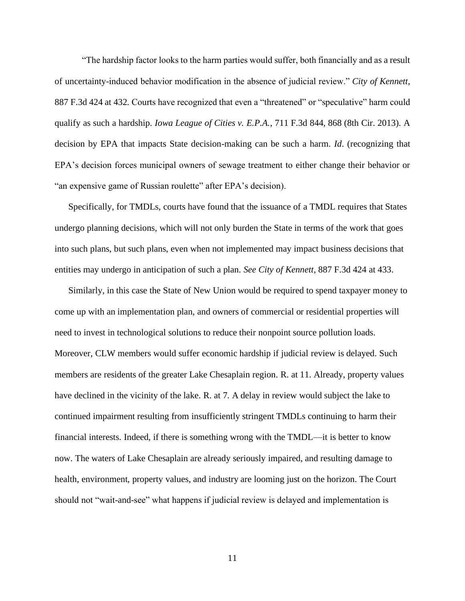"The hardship factor looks to the harm parties would suffer, both financially and as a result of uncertainty-induced behavior modification in the absence of judicial review." *City of Kennett*, 887 F.3d 424 at 432. Courts have recognized that even a "threatened" or "speculative" harm could qualify as such a hardship. *Iowa League of Cities v. E.P.A.*, 711 F.3d 844, 868 (8th Cir. 2013). A decision by EPA that impacts State decision-making can be such a harm. *Id*. (recognizing that EPA's decision forces municipal owners of sewage treatment to either change their behavior or "an expensive game of Russian roulette" after EPA's decision).

Specifically, for TMDLs, courts have found that the issuance of a TMDL requires that States undergo planning decisions, which will not only burden the State in terms of the work that goes into such plans, but such plans, even when not implemented may impact business decisions that entities may undergo in anticipation of such a plan. *See City of Kennett,* 887 F.3d 424 at 433.

Similarly, in this case the State of New Union would be required to spend taxpayer money to come up with an implementation plan, and owners of commercial or residential properties will need to invest in technological solutions to reduce their nonpoint source pollution loads. Moreover, CLW members would suffer economic hardship if judicial review is delayed. Such members are residents of the greater Lake Chesaplain region. R. at 11. Already, property values have declined in the vicinity of the lake. R. at 7. A delay in review would subject the lake to continued impairment resulting from insufficiently stringent TMDLs continuing to harm their financial interests. Indeed, if there is something wrong with the TMDL—it is better to know now. The waters of Lake Chesaplain are already seriously impaired, and resulting damage to health, environment, property values, and industry are looming just on the horizon. The Court should not "wait-and-see" what happens if judicial review is delayed and implementation is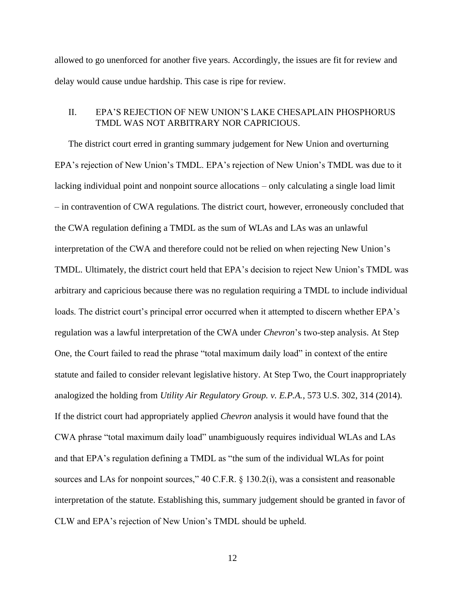allowed to go unenforced for another five years. Accordingly, the issues are fit for review and delay would cause undue hardship. This case is ripe for review.

## II. EPA'S REJECTION OF NEW UNION'S LAKE CHESAPLAIN PHOSPHORUS TMDL WAS NOT ARBITRARY NOR CAPRICIOUS.

The district court erred in granting summary judgement for New Union and overturning EPA's rejection of New Union's TMDL. EPA's rejection of New Union's TMDL was due to it lacking individual point and nonpoint source allocations – only calculating a single load limit – in contravention of CWA regulations. The district court, however, erroneously concluded that the CWA regulation defining a TMDL as the sum of WLAs and LAs was an unlawful interpretation of the CWA and therefore could not be relied on when rejecting New Union's TMDL. Ultimately, the district court held that EPA's decision to reject New Union's TMDL was arbitrary and capricious because there was no regulation requiring a TMDL to include individual loads. The district court's principal error occurred when it attempted to discern whether EPA's regulation was a lawful interpretation of the CWA under *Chevron*'s two-step analysis. At Step One, the Court failed to read the phrase "total maximum daily load" in context of the entire statute and failed to consider relevant legislative history. At Step Two, the Court inappropriately analogized the holding from *Utility Air Regulatory Group. v. E.P.A.*, 573 U.S. 302, 314 (2014). If the district court had appropriately applied *Chevron* analysis it would have found that the CWA phrase "total maximum daily load" unambiguously requires individual WLAs and LAs and that EPA's regulation defining a TMDL as "the sum of the individual WLAs for point sources and LAs for nonpoint sources," 40 C.F.R. § 130.2(i), was a consistent and reasonable interpretation of the statute. Establishing this, summary judgement should be granted in favor of CLW and EPA's rejection of New Union's TMDL should be upheld.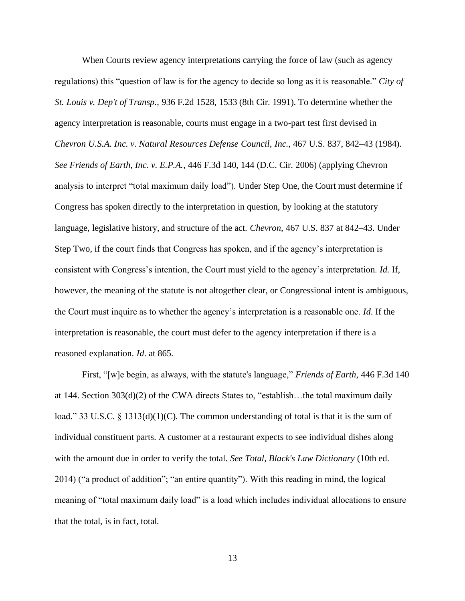When Courts review agency interpretations carrying the force of law (such as agency regulations) this "question of law is for the agency to decide so long as it is reasonable." *City of St. Louis v. Dep't of Transp.*, 936 F.2d 1528, 1533 (8th Cir. 1991). To determine whether the agency interpretation is reasonable, courts must engage in a two-part test first devised in *Chevron U.S.A. Inc. v. Natural Resources Defense Council*, *Inc.*, 467 U.S. 837, 842–43 (1984). *See Friends of Earth, Inc. v. E.P.A.*, 446 F.3d 140, 144 (D.C. Cir. 2006) (applying Chevron analysis to interpret "total maximum daily load"). Under Step One, the Court must determine if Congress has spoken directly to the interpretation in question, by looking at the statutory language, legislative history, and structure of the act. *Chevron*, 467 U.S. 837 at 842–43. Under Step Two, if the court finds that Congress has spoken, and if the agency's interpretation is consistent with Congress's intention, the Court must yield to the agency's interpretation. *Id.* If, however, the meaning of the statute is not altogether clear, or Congressional intent is ambiguous, the Court must inquire as to whether the agency's interpretation is a reasonable one. *Id*. If the interpretation is reasonable, the court must defer to the agency interpretation if there is a reasoned explanation. *Id*. at 865.

First, "[w]e begin, as always, with the statute's language," *Friends of Earth*, 446 F.3d 140 at 144. Section 303(d)(2) of the CWA directs States to, "establish…the total maximum daily load." 33 U.S.C. § 1313(d)(1)(C). The common understanding of total is that it is the sum of individual constituent parts. A customer at a restaurant expects to see individual dishes along with the amount due in order to verify the total. *See Total, Black's Law Dictionary* (10th ed. 2014) ("a product of addition"; "an entire quantity"). With this reading in mind, the logical meaning of "total maximum daily load" is a load which includes individual allocations to ensure that the total, is in fact, total.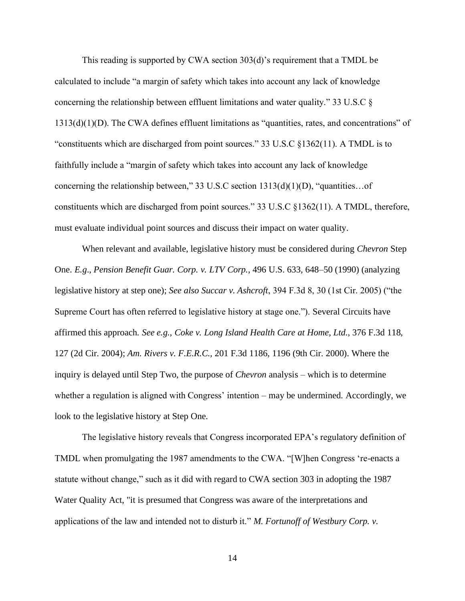This reading is supported by CWA section 303(d)'s requirement that a TMDL be calculated to include "a margin of safety which takes into account any lack of knowledge concerning the relationship between effluent limitations and water quality." 33 U.S.C § 1313(d)(1)(D). The CWA defines effluent limitations as "quantities, rates, and concentrations" of "constituents which are discharged from point sources." 33 U.S.C §1362(11). A TMDL is to faithfully include a "margin of safety which takes into account any lack of knowledge concerning the relationship between," 33 U.S.C section 1313(d)(1)(D), "quantities…of constituents which are discharged from point sources." 33 U.S.C §1362(11). A TMDL, therefore, must evaluate individual point sources and discuss their impact on water quality.

When relevant and available, legislative history must be considered during *Chevron* Step One. *E.g*., *Pension Benefit Guar. Corp. v. LTV Corp.,* 496 U.S. 633, 648–50 (1990) (analyzing legislative history at step one); *See also Succar v. Ashcroft*, 394 F.3d 8, 30 (1st Cir. 2005) ("the Supreme Court has often referred to legislative history at stage one."). Several Circuits have affirmed this approach*. See e.g., Coke v. Long Island Health Care at Home, Ltd*., 376 F.3d 118, 127 (2d Cir. 2004); *Am. Rivers v. F.E.R.C.,* 201 F.3d 1186, 1196 (9th Cir. 2000). Where the inquiry is delayed until Step Two, the purpose of *Chevron* analysis – which is to determine whether a regulation is aligned with Congress' intention – may be undermined. Accordingly, we look to the legislative history at Step One.

The legislative history reveals that Congress incorporated EPA's regulatory definition of TMDL when promulgating the 1987 amendments to the CWA. "[W]hen Congress 're-enacts a statute without change," such as it did with regard to CWA section 303 in adopting the 1987 Water Quality Act, "it is presumed that Congress was aware of the interpretations and applications of the law and intended not to disturb it." *M. Fortunoff of Westbury Corp. v.*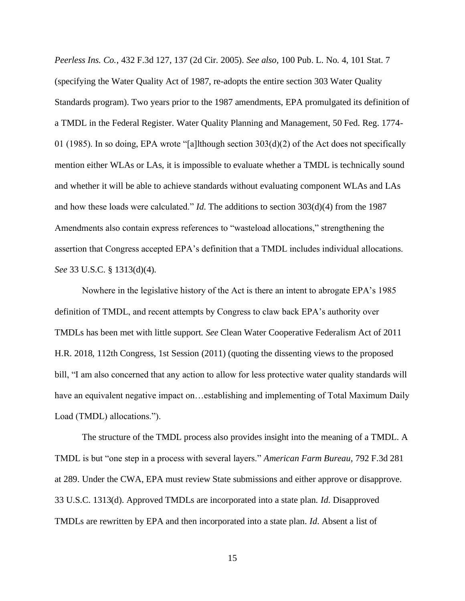*Peerless Ins. Co.*, 432 F.3d 127, 137 (2d Cir. 2005). *See also,* 100 Pub. L. No. 4, 101 Stat. 7 (specifying the Water Quality Act of 1987, re-adopts the entire section 303 Water Quality Standards program). Two years prior to the 1987 amendments, EPA promulgated its definition of a TMDL in the Federal Register. Water Quality Planning and Management, 50 Fed. Reg. 1774- 01 (1985). In so doing, EPA wrote "[a]lthough section 303(d)(2) of the Act does not specifically mention either WLAs or LAs, it is impossible to evaluate whether a TMDL is technically sound and whether it will be able to achieve standards without evaluating component WLAs and LAs and how these loads were calculated." *Id*. The additions to section 303(d)(4) from the 1987 Amendments also contain express references to "wasteload allocations," strengthening the assertion that Congress accepted EPA's definition that a TMDL includes individual allocations. *See* 33 U.S.C. § 1313(d)(4).

Nowhere in the legislative history of the Act is there an intent to abrogate EPA's 1985 definition of TMDL, and recent attempts by Congress to claw back EPA's authority over TMDLs has been met with little support. *See* Clean Water Cooperative Federalism Act of 2011 H.R. 2018, 112th Congress, 1st Session (2011) (quoting the dissenting views to the proposed bill, "I am also concerned that any action to allow for less protective water quality standards will have an equivalent negative impact on...establishing and implementing of Total Maximum Daily Load (TMDL) allocations.").

The structure of the TMDL process also provides insight into the meaning of a TMDL. A TMDL is but "one step in a process with several layers." *American Farm Bureau*, 792 F.3d 281 at 289. Under the CWA, EPA must review State submissions and either approve or disapprove. 33 U.S.C. 1313(d). Approved TMDLs are incorporated into a state plan. *Id*. Disapproved TMDLs are rewritten by EPA and then incorporated into a state plan. *Id*. Absent a list of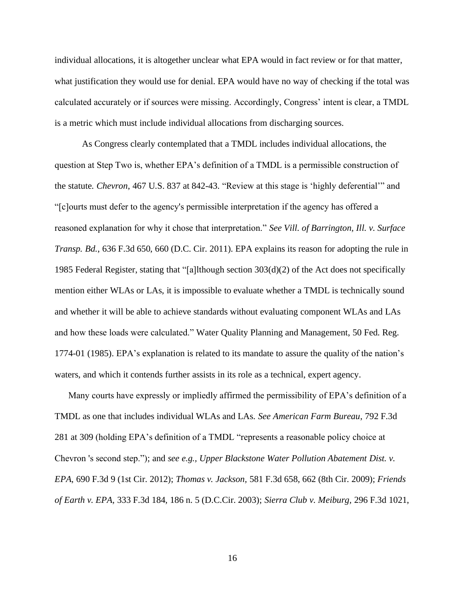individual allocations, it is altogether unclear what EPA would in fact review or for that matter, what justification they would use for denial. EPA would have no way of checking if the total was calculated accurately or if sources were missing. Accordingly, Congress' intent is clear, a TMDL is a metric which must include individual allocations from discharging sources.

As Congress clearly contemplated that a TMDL includes individual allocations, the question at Step Two is, whether EPA's definition of a TMDL is a permissible construction of the statute*. Chevron*, 467 U.S. 837 at 842-43. "Review at this stage is 'highly deferential'" and "[c]ourts must defer to the agency's permissible interpretation if the agency has offered a reasoned explanation for why it chose that interpretation." *See Vill. of Barrington, Ill. v. Surface Transp. Bd.*, 636 F.3d 650, 660 (D.C. Cir. 2011). EPA explains its reason for adopting the rule in 1985 Federal Register, stating that "[a]lthough section  $303(d)(2)$  of the Act does not specifically mention either WLAs or LAs, it is impossible to evaluate whether a TMDL is technically sound and whether it will be able to achieve standards without evaluating component WLAs and LAs and how these loads were calculated." Water Quality Planning and Management, 50 Fed. Reg. 1774-01 (1985). EPA's explanation is related to its mandate to assure the quality of the nation's waters, and which it contends further assists in its role as a technical, expert agency.

Many courts have expressly or impliedly affirmed the permissibility of EPA's definition of a TMDL as one that includes individual WLAs and LAs. *See American Farm Bureau*, 792 F.3d 281 at 309 (holding EPA's definition of a TMDL "represents a reasonable policy choice at Chevron 's second step."); and *see e.g., Upper Blackstone Water Pollution Abatement Dist. v. EPA*, 690 F.3d 9 (1st Cir. 2012); *Thomas v. Jackson,* 581 F.3d 658, 662 (8th Cir. 2009); *Friends of Earth v. EPA,* 333 F.3d 184, 186 n. 5 (D.C.Cir. 2003); *Sierra Club v. Meiburg,* 296 F.3d 1021,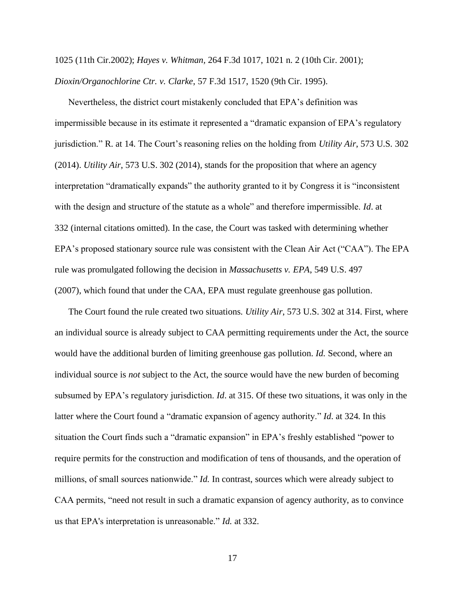1025 (11th Cir.2002); *Hayes v. Whitman,* 264 F.3d 1017, 1021 n. 2 (10th Cir. 2001); *Dioxin/Organochlorine Ctr. v. Clarke*, 57 F.3d 1517, 1520 (9th Cir. 1995).

Nevertheless, the district court mistakenly concluded that EPA's definition was impermissible because in its estimate it represented a "dramatic expansion of EPA's regulatory jurisdiction." R. at 14. The Court's reasoning relies on the holding from *Utility Air*, 573 U.S. 302 (2014). *Utility Air*, 573 U.S. 302 (2014), stands for the proposition that where an agency interpretation "dramatically expands" the authority granted to it by Congress it is "inconsistent with the design and structure of the statute as a whole" and therefore impermissible. *Id*. at 332 (internal citations omitted). In the case, the Court was tasked with determining whether EPA's proposed stationary source rule was consistent with the Clean Air Act ("CAA"). The EPA rule was promulgated following the decision in *Massachusetts v. EPA*, 549 U.S. 497 (2007), which found that under the CAA, EPA must regulate greenhouse gas pollution.

The Court found the rule created two situations. *Utility Air*, 573 U.S. 302 at 314. First, where an individual source is already subject to CAA permitting requirements under the Act, the source would have the additional burden of limiting greenhouse gas pollution. *Id.* Second, where an individual source is *not* subject to the Act, the source would have the new burden of becoming subsumed by EPA's regulatory jurisdiction. *Id*. at 315. Of these two situations, it was only in the latter where the Court found a "dramatic expansion of agency authority." *Id*. at 324. In this situation the Court finds such a "dramatic expansion" in EPA's freshly established "power to require permits for the construction and modification of tens of thousands, and the operation of millions, of small sources nationwide." *Id.* In contrast, sources which were already subject to CAA permits, "need not result in such a dramatic expansion of agency authority, as to convince us that EPA's interpretation is unreasonable." *Id.* at 332.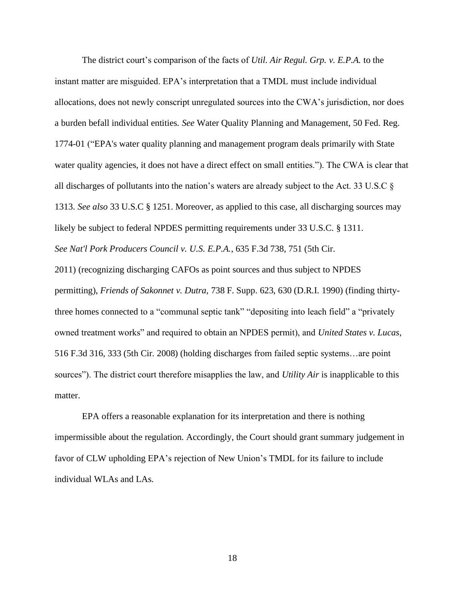The district court's comparison of the facts of *Util. Air Regul. Grp. v. E.P.A.* to the instant matter are misguided. EPA's interpretation that a TMDL must include individual allocations, does not newly conscript unregulated sources into the CWA's jurisdiction, nor does a burden befall individual entities. *See* Water Quality Planning and Management, 50 Fed. Reg. 1774-01 ("EPA's water quality planning and management program deals primarily with State water quality agencies, it does not have a direct effect on small entities."). The CWA is clear that all discharges of pollutants into the nation's waters are already subject to the Act. 33 U.S.C § 1313. *See also* 33 U.S.C § 1251. Moreover, as applied to this case, all discharging sources may likely be subject to federal NPDES permitting requirements under 33 U.S.C. § 1311. *See Nat'l Pork Producers Council v. U.S. E.P.A.*, 635 F.3d 738, 751 (5th Cir.

2011) (recognizing discharging CAFOs as point sources and thus subject to NPDES permitting), *Friends of Sakonnet v. Dutra*, 738 F. Supp. 623, 630 (D.R.I. 1990) (finding thirtythree homes connected to a "communal septic tank" "depositing into leach field" a "privately owned treatment works" and required to obtain an NPDES permit), and *United States v. Lucas*, 516 F.3d 316, 333 (5th Cir. 2008) (holding discharges from failed septic systems…are point sources"). The district court therefore misapplies the law, and *Utility Air* is inapplicable to this matter.

EPA offers a reasonable explanation for its interpretation and there is nothing impermissible about the regulation. Accordingly, the Court should grant summary judgement in favor of CLW upholding EPA's rejection of New Union's TMDL for its failure to include individual WLAs and LAs.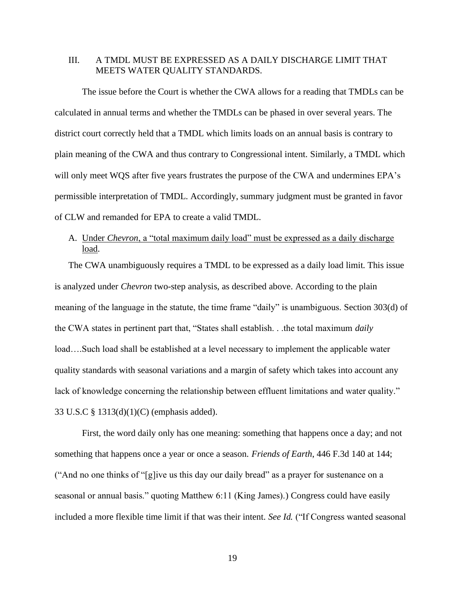## III. A TMDL MUST BE EXPRESSED AS A DAILY DISCHARGE LIMIT THAT MEETS WATER QUALITY STANDARDS.

The issue before the Court is whether the CWA allows for a reading that TMDLs can be calculated in annual terms and whether the TMDLs can be phased in over several years. The district court correctly held that a TMDL which limits loads on an annual basis is contrary to plain meaning of the CWA and thus contrary to Congressional intent. Similarly, a TMDL which will only meet WQS after five years frustrates the purpose of the CWA and undermines EPA's permissible interpretation of TMDL. Accordingly, summary judgment must be granted in favor of CLW and remanded for EPA to create a valid TMDL.

# A. Under *Chevron*, a "total maximum daily load" must be expressed as a daily discharge load.

The CWA unambiguously requires a TMDL to be expressed as a daily load limit. This issue is analyzed under *Chevron* two-step analysis, as described above. According to the plain meaning of the language in the statute, the time frame "daily" is unambiguous. Section 303(d) of the CWA states in pertinent part that, "States shall establish. . .the total maximum *daily*  load….Such load shall be established at a level necessary to implement the applicable water quality standards with seasonal variations and a margin of safety which takes into account any lack of knowledge concerning the relationship between effluent limitations and water quality." 33 U.S.C § 1313(d)(1)(C) (emphasis added).

First, the word daily only has one meaning: something that happens once a day; and not something that happens once a year or once a season. *Friends of Earth*, 446 F.3d 140 at 144; ("And no one thinks of "[g]ive us this day our daily bread" as a prayer for sustenance on a seasonal or annual basis." quoting Matthew 6:11 (King James).) Congress could have easily included a more flexible time limit if that was their intent. *See Id.* ("If Congress wanted seasonal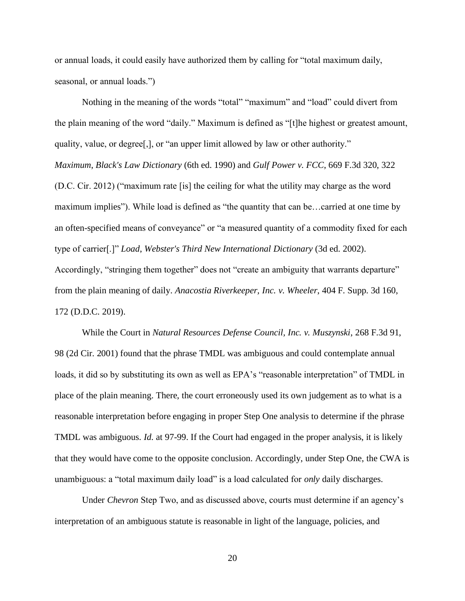or annual loads, it could easily have authorized them by calling for "total maximum daily, seasonal, or annual loads.")

Nothing in the meaning of the words "total" "maximum" and "load" could divert from the plain meaning of the word "daily." Maximum is defined as "[t]he highest or greatest amount, quality, value, or degree[,], or "an upper limit allowed by law or other authority." *Maximum*, *Black's Law Dictionary* (6th ed. 1990) and *Gulf Power v. FCC*, 669 F.3d 320, 322 (D.C. Cir. 2012) ("maximum rate [is] the ceiling for what the utility may charge as the word maximum implies"). While load is defined as "the quantity that can be…carried at one time by an often-specified means of conveyance" or "a measured quantity of a commodity fixed for each type of carrier[.]" *Load*, *Webster's Third New International Dictionary* (3d ed. 2002). Accordingly, "stringing them together" does not "create an ambiguity that warrants departure" from the plain meaning of daily. *Anacostia Riverkeeper, Inc. v. Wheeler*, 404 F. Supp. 3d 160, 172 (D.D.C. 2019).

While the Court in *Natural Resources Defense Council, Inc. v. Muszynski*, 268 F.3d 91, 98 (2d Cir. 2001) found that the phrase TMDL was ambiguous and could contemplate annual loads, it did so by substituting its own as well as EPA's "reasonable interpretation" of TMDL in place of the plain meaning. There, the court erroneously used its own judgement as to what is a reasonable interpretation before engaging in proper Step One analysis to determine if the phrase TMDL was ambiguous. *Id.* at 97-99. If the Court had engaged in the proper analysis, it is likely that they would have come to the opposite conclusion. Accordingly, under Step One, the CWA is unambiguous: a "total maximum daily load" is a load calculated for *only* daily discharges.

Under *Chevron* Step Two, and as discussed above, courts must determine if an agency's interpretation of an ambiguous statute is reasonable in light of the language, policies, and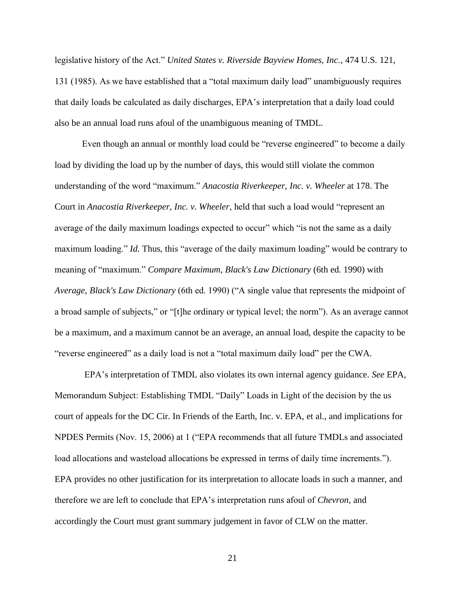legislative history of the Act." *United States v. Riverside Bayview Homes, Inc.*, 474 U.S. 121, 131 (1985). As we have established that a "total maximum daily load" unambiguously requires that daily loads be calculated as daily discharges, EPA's interpretation that a daily load could also be an annual load runs afoul of the unambiguous meaning of TMDL.

Even though an annual or monthly load could be "reverse engineered" to become a daily load by dividing the load up by the number of days, this would still violate the common understanding of the word "maximum." *Anacostia Riverkeeper, Inc. v. Wheeler* at 178. The Court in *Anacostia Riverkeeper, Inc. v. Wheeler*, held that such a load would "represent an average of the daily maximum loadings expected to occur" which "is not the same as a daily maximum loading." *Id.* Thus, this "average of the daily maximum loading" would be contrary to meaning of "maximum." *Compare Maximum*, *Black's Law Dictionary* (6th ed. 1990) with *Average*, *Black's Law Dictionary* (6th ed. 1990) ("A single value that represents the midpoint of a broad sample of subjects," or "[t]he ordinary or typical level; the norm"). As an average cannot be a maximum, and a maximum cannot be an average, an annual load, despite the capacity to be "reverse engineered" as a daily load is not a "total maximum daily load" per the CWA.

EPA's interpretation of TMDL also violates its own internal agency guidance. *See* EPA, Memorandum Subject: Establishing TMDL "Daily" Loads in Light of the decision by the us court of appeals for the DC Cir. In Friends of the Earth, Inc. v. EPA, et al., and implications for NPDES Permits (Nov. 15, 2006) at 1 ("EPA recommends that all future TMDLs and associated load allocations and wasteload allocations be expressed in terms of daily time increments."). EPA provides no other justification for its interpretation to allocate loads in such a manner, and therefore we are left to conclude that EPA's interpretation runs afoul of *Chevron*, and accordingly the Court must grant summary judgement in favor of CLW on the matter.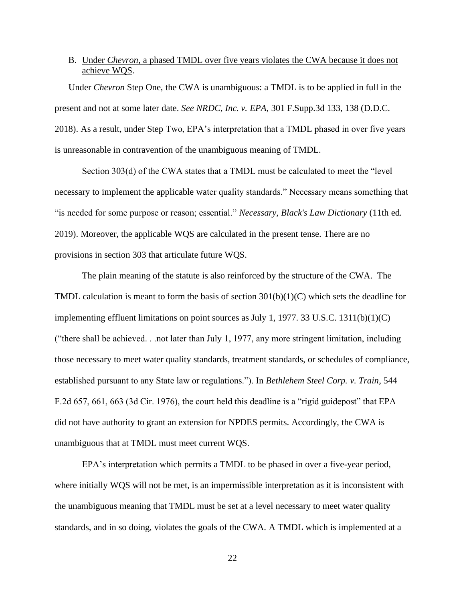### B. Under *Chevron*, a phased TMDL over five years violates the CWA because it does not achieve WQS.

 Under *Chevron* Step One, the CWA is unambiguous: a TMDL is to be applied in full in the present and not at some later date. *See NRDC, Inc. v. EPA*, 301 F.Supp.3d 133, 138 (D.D.C. 2018). As a result, under Step Two, EPA's interpretation that a TMDL phased in over five years is unreasonable in contravention of the unambiguous meaning of TMDL.

Section 303(d) of the CWA states that a TMDL must be calculated to meet the "level necessary to implement the applicable water quality standards." Necessary means something that "is needed for some purpose or reason; essential." *Necessary*, *Black's Law Dictionary* (11th ed. 2019). Moreover, the applicable WQS are calculated in the present tense. There are no provisions in section 303 that articulate future WQS.

The plain meaning of the statute is also reinforced by the structure of the CWA. The TMDL calculation is meant to form the basis of section 301(b)(1)(C) which sets the deadline for implementing effluent limitations on point sources as July 1, 1977. 33 U.S.C. 1311(b)(1)(C) ("there shall be achieved. . .not later than July 1, 1977, any more stringent limitation, including those necessary to meet water quality standards, treatment standards, or schedules of compliance, established pursuant to any State law or regulations."). In *Bethlehem Steel Corp. v. Train*, 544 F.2d 657, 661, 663 (3d Cir. 1976), the court held this deadline is a "rigid guidepost" that EPA did not have authority to grant an extension for NPDES permits. Accordingly, the CWA is unambiguous that at TMDL must meet current WQS.

EPA's interpretation which permits a TMDL to be phased in over a five-year period, where initially WQS will not be met, is an impermissible interpretation as it is inconsistent with the unambiguous meaning that TMDL must be set at a level necessary to meet water quality standards, and in so doing, violates the goals of the CWA. A TMDL which is implemented at a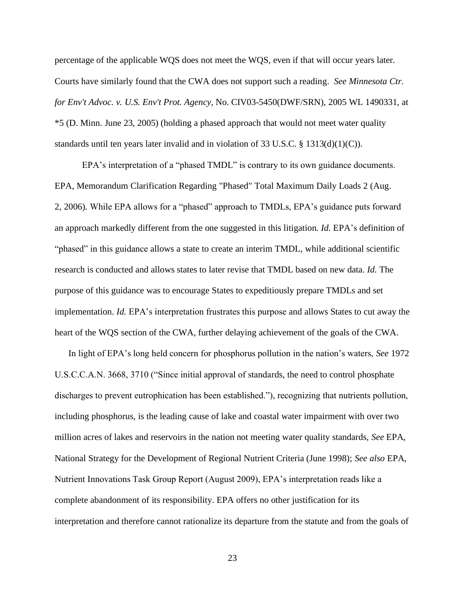percentage of the applicable WQS does not meet the WQS, even if that will occur years later. Courts have similarly found that the CWA does not support such a reading. *See Minnesota Ctr. for Env't Advoc. v. U.S. Env't Prot. Agency,* No. CIV03-5450(DWF/SRN), 2005 WL 1490331, at \*5 (D. Minn. June 23, 2005) (holding a phased approach that would not meet water quality standards until ten years later invalid and in violation of 33 U.S.C. § 1313(d)(1)(C)).

EPA's interpretation of a "phased TMDL" is contrary to its own guidance documents. EPA, Memorandum Clarification Regarding "Phased" Total Maximum Daily Loads 2 (Aug. 2, 2006). While EPA allows for a "phased" approach to TMDLs, EPA's guidance puts forward an approach markedly different from the one suggested in this litigation. *Id.* EPA's definition of "phased" in this guidance allows a state to create an interim TMDL, while additional scientific research is conducted and allows states to later revise that TMDL based on new data. *Id.* The purpose of this guidance was to encourage States to expeditiously prepare TMDLs and set implementation. *Id.* EPA's interpretation frustrates this purpose and allows States to cut away the heart of the WQS section of the CWA, further delaying achievement of the goals of the CWA.

In light of EPA's long held concern for phosphorus pollution in the nation's waters, *See* 1972 U.S.C.C.A.N. 3668, 3710 ("Since initial approval of standards, the need to control phosphate discharges to prevent eutrophication has been established."), recognizing that nutrients pollution, including phosphorus, is the leading cause of lake and coastal water impairment with over two million acres of lakes and reservoirs in the nation not meeting water quality standards, *See* EPA, National Strategy for the Development of Regional Nutrient Criteria (June 1998); *See also* EPA, Nutrient Innovations Task Group Report (August 2009), EPA's interpretation reads like a complete abandonment of its responsibility. EPA offers no other justification for its interpretation and therefore cannot rationalize its departure from the statute and from the goals of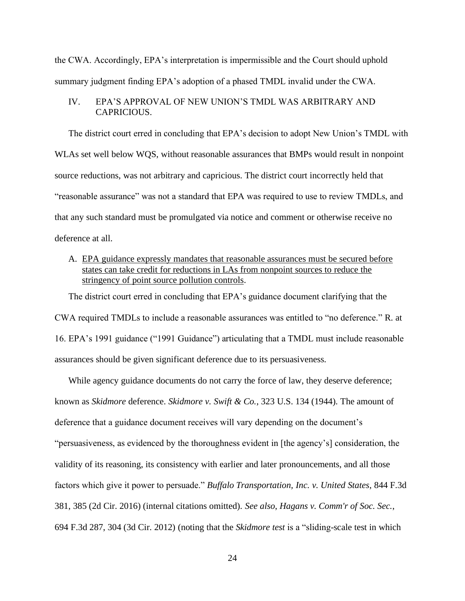the CWA. Accordingly, EPA's interpretation is impermissible and the Court should uphold summary judgment finding EPA's adoption of a phased TMDL invalid under the CWA.

# IV. EPA'S APPROVAL OF NEW UNION'S TMDL WAS ARBITRARY AND CAPRICIOUS.

The district court erred in concluding that EPA's decision to adopt New Union's TMDL with WLAs set well below WQS, without reasonable assurances that BMPs would result in nonpoint source reductions, was not arbitrary and capricious. The district court incorrectly held that "reasonable assurance" was not a standard that EPA was required to use to review TMDLs, and that any such standard must be promulgated via notice and comment or otherwise receive no deference at all.

# A. EPA guidance expressly mandates that reasonable assurances must be secured before states can take credit for reductions in LAs from nonpoint sources to reduce the stringency of point source pollution controls.

The district court erred in concluding that EPA's guidance document clarifying that the CWA required TMDLs to include a reasonable assurances was entitled to "no deference." R. at 16. EPA's 1991 guidance ("1991 Guidance") articulating that a TMDL must include reasonable assurances should be given significant deference due to its persuasiveness.

While agency guidance documents do not carry the force of law, they deserve deference; known as *Skidmore* deference. *Skidmore v. Swift & Co.*, 323 U.S. 134 (1944). The amount of deference that a guidance document receives will vary depending on the document's "persuasiveness, as evidenced by the thoroughness evident in [the agency's] consideration, the validity of its reasoning, its consistency with earlier and later pronouncements, and all those factors which give it power to persuade." *Buffalo Transportation, Inc. v. United States*, 844 F.3d 381, 385 (2d Cir. 2016) (internal citations omitted). *See also*, *Hagans v. Comm'r of Soc. Sec.*, 694 F.3d 287, 304 (3d Cir. 2012) (noting that the *Skidmore test* is a "sliding-scale test in which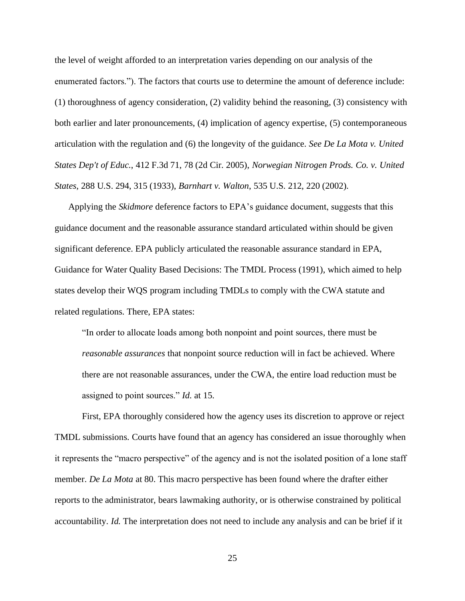the level of weight afforded to an interpretation varies depending on our analysis of the enumerated factors."). The factors that courts use to determine the amount of deference include: (1) thoroughness of agency consideration, (2) validity behind the reasoning, (3) consistency with both earlier and later pronouncements, (4) implication of agency expertise, (5) contemporaneous articulation with the regulation and (6) the longevity of the guidance. *See De La Mota v. United States Dep't of Educ.*, 412 F.3d 71, 78 (2d Cir. 2005), *Norwegian Nitrogen Prods. Co. v. United States*, 288 U.S. 294, 315 (1933), *Barnhart v. Walton*, 535 U.S. 212, 220 (2002).

Applying the *Skidmore* deference factors to EPA's guidance document, suggests that this guidance document and the reasonable assurance standard articulated within should be given significant deference. EPA publicly articulated the reasonable assurance standard in EPA, Guidance for Water Quality Based Decisions: The TMDL Process (1991), which aimed to help states develop their WQS program including TMDLs to comply with the CWA statute and related regulations. There, EPA states:

"In order to allocate loads among both nonpoint and point sources, there must be *reasonable assurances* that nonpoint source reduction will in fact be achieved. Where there are not reasonable assurances, under the CWA, the entire load reduction must be assigned to point sources." *Id.* at 15.

First, EPA thoroughly considered how the agency uses its discretion to approve or reject TMDL submissions. Courts have found that an agency has considered an issue thoroughly when it represents the "macro perspective" of the agency and is not the isolated position of a lone staff member. *De La Mota* at 80. This macro perspective has been found where the drafter either reports to the administrator, bears lawmaking authority, or is otherwise constrained by political accountability. *Id.* The interpretation does not need to include any analysis and can be brief if it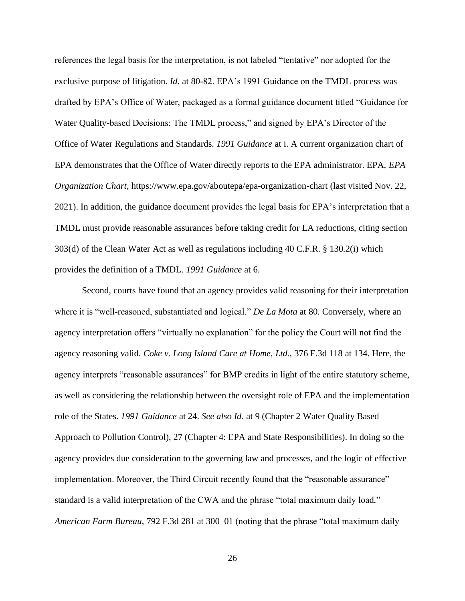references the legal basis for the interpretation, is not labeled "tentative" nor adopted for the exclusive purpose of litigation. *Id.* at 80-82. EPA's 1991 Guidance on the TMDL process was drafted by EPA's Office of Water, packaged as a formal guidance document titled "Guidance for Water Quality-based Decisions: The TMDL process," and signed by EPA's Director of the Office of Water Regulations and Standards. *1991 Guidance* at i. A current organization chart of EPA demonstrates that the Office of Water directly reports to the EPA administrator. EPA, *EPA Organization Chart*, https://www.epa.gov/aboutepa/epa-organization-chart (last visited Nov. 22, 2021). In addition, the guidance document provides the legal basis for EPA's interpretation that a TMDL must provide reasonable assurances before taking credit for LA reductions, citing section 303(d) of the Clean Water Act as well as regulations including 40 C.F.R. § 130.2(i) which provides the definition of a TMDL. *1991 Guidance* at 6.

Second, courts have found that an agency provides valid reasoning for their interpretation where it is "well-reasoned, substantiated and logical." *De La Mota* at 80. Conversely, where an agency interpretation offers "virtually no explanation" for the policy the Court will not find the agency reasoning valid. *Coke v. Long Island Care at Home, Ltd.,* 376 F.3d 118 at 134. Here, the agency interprets "reasonable assurances" for BMP credits in light of the entire statutory scheme, as well as considering the relationship between the oversight role of EPA and the implementation role of the States. *1991 Guidance* at 24. *See also Id.* at 9 (Chapter 2 Water Quality Based Approach to Pollution Control), 27 (Chapter 4: EPA and State Responsibilities). In doing so the agency provides due consideration to the governing law and processes, and the logic of effective implementation. Moreover, the Third Circuit recently found that the "reasonable assurance" standard is a valid interpretation of the CWA and the phrase "total maximum daily load*.*" *American Farm Bureau*, 792 F.3d 281 at 300–01 (noting that the phrase "total maximum daily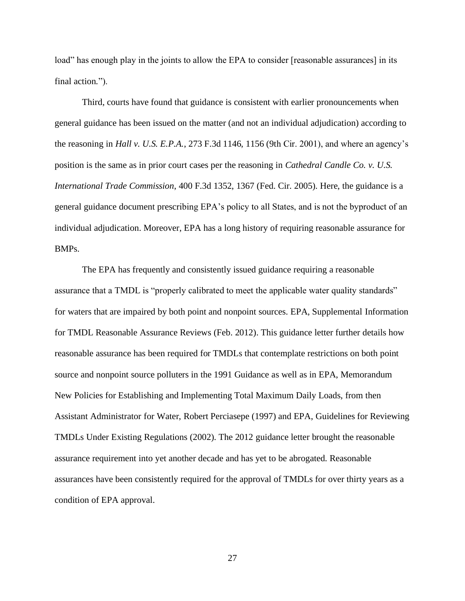load" has enough play in the joints to allow the EPA to consider [reasonable assurances] in its final action*.*").

Third, courts have found that guidance is consistent with earlier pronouncements when general guidance has been issued on the matter (and not an individual adjudication) according to the reasoning in *Hall v. U.S. E.P.A.*, 273 F.3d 1146, 1156 (9th Cir. 2001), and where an agency's position is the same as in prior court cases per the reasoning in *Cathedral Candle Co. v. U.S. International Trade Commission*, 400 F.3d 1352, 1367 (Fed. Cir. 2005). Here, the guidance is a general guidance document prescribing EPA's policy to all States, and is not the byproduct of an individual adjudication. Moreover, EPA has a long history of requiring reasonable assurance for BMPs.

The EPA has frequently and consistently issued guidance requiring a reasonable assurance that a TMDL is "properly calibrated to meet the applicable water quality standards" for waters that are impaired by both point and nonpoint sources. EPA, Supplemental Information for TMDL Reasonable Assurance Reviews (Feb. 2012). This guidance letter further details how reasonable assurance has been required for TMDLs that contemplate restrictions on both point source and nonpoint source polluters in the 1991 Guidance as well as in EPA, Memorandum New Policies for Establishing and Implementing Total Maximum Daily Loads, from then Assistant Administrator for Water, Robert Perciasepe (1997) and EPA, Guidelines for Reviewing TMDLs Under Existing Regulations (2002). The 2012 guidance letter brought the reasonable assurance requirement into yet another decade and has yet to be abrogated. Reasonable assurances have been consistently required for the approval of TMDLs for over thirty years as a condition of EPA approval.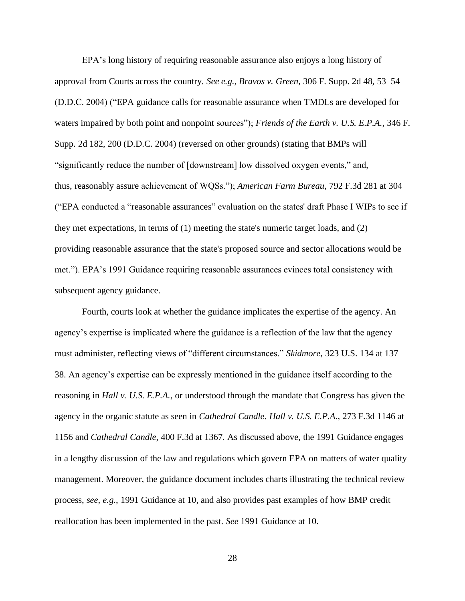EPA's long history of requiring reasonable assurance also enjoys a long history of approval from Courts across the country. *See e.g.*, *Bravos v. Green*, 306 F. Supp. 2d 48, 53–54 (D.D.C. 2004) ("EPA guidance calls for reasonable assurance when TMDLs are developed for waters impaired by both point and nonpoint sources"); *Friends of the Earth v. U.S. E.P.A.*, 346 F. Supp. 2d 182, 200 (D.D.C. 2004) (reversed on other grounds) (stating that BMPs will "significantly reduce the number of [downstream] low dissolved oxygen events," and, thus, reasonably assure achievement of WQSs."); *American Farm Bureau,* 792 F.3d 281 at 304 ("EPA conducted a "reasonable assurances" evaluation on the states' draft Phase I WIPs to see if they met expectations, in terms of (1) meeting the state's numeric target loads, and (2) providing reasonable assurance that the state's proposed source and sector allocations would be met."). EPA's 1991 Guidance requiring reasonable assurances evinces total consistency with subsequent agency guidance.

Fourth, courts look at whether the guidance implicates the expertise of the agency. An agency's expertise is implicated where the guidance is a reflection of the law that the agency must administer, reflecting views of "different circumstances." *Skidmore*, 323 U.S. 134 at 137– 38. An agency's expertise can be expressly mentioned in the guidance itself according to the reasoning in *Hall v. U.S. E.P.A.*, or understood through the mandate that Congress has given the agency in the organic statute as seen in *Cathedral Candle*. *Hall v. U.S. E.P.A.*, 273 F.3d 1146 at 1156 and *Cathedral Candle*, 400 F.3d at 1367. As discussed above, the 1991 Guidance engages in a lengthy discussion of the law and regulations which govern EPA on matters of water quality management. Moreover, the guidance document includes charts illustrating the technical review process, *see, e.g.*, 1991 Guidance at 10, and also provides past examples of how BMP credit reallocation has been implemented in the past. *See* 1991 Guidance at 10.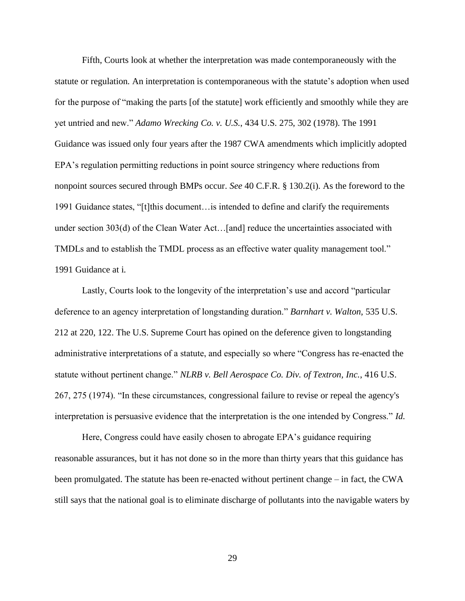Fifth, Courts look at whether the interpretation was made contemporaneously with the statute or regulation. An interpretation is contemporaneous with the statute's adoption when used for the purpose of "making the parts [of the statute] work efficiently and smoothly while they are yet untried and new." *Adamo Wrecking Co. v. U.S.*, 434 U.S. 275, 302 (1978). The 1991 Guidance was issued only four years after the 1987 CWA amendments which implicitly adopted EPA's regulation permitting reductions in point source stringency where reductions from nonpoint sources secured through BMPs occur. *See* 40 C.F.R. § 130.2(i). As the foreword to the 1991 Guidance states, "[t]this document…is intended to define and clarify the requirements under section 303(d) of the Clean Water Act…[and] reduce the uncertainties associated with TMDLs and to establish the TMDL process as an effective water quality management tool." 1991 Guidance at i.

Lastly, Courts look to the longevity of the interpretation's use and accord "particular deference to an agency interpretation of longstanding duration." *Barnhart v. Walton*, 535 U.S. 212 at 220, 122. The U.S. Supreme Court has opined on the deference given to longstanding administrative interpretations of a statute, and especially so where "Congress has re-enacted the statute without pertinent change." *NLRB v. Bell Aerospace Co. Div. of Textron, Inc.*, 416 U.S. 267, 275 (1974). "In these circumstances, congressional failure to revise or repeal the agency's interpretation is persuasive evidence that the interpretation is the one intended by Congress." *Id.*

Here, Congress could have easily chosen to abrogate EPA's guidance requiring reasonable assurances, but it has not done so in the more than thirty years that this guidance has been promulgated. The statute has been re-enacted without pertinent change – in fact, the CWA still says that the national goal is to eliminate discharge of pollutants into the navigable waters by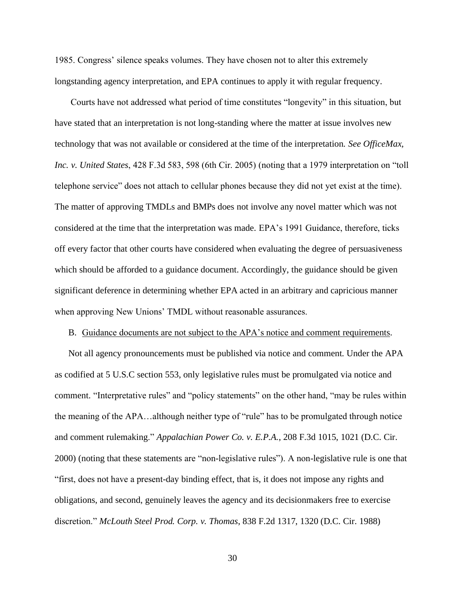1985. Congress' silence speaks volumes. They have chosen not to alter this extremely longstanding agency interpretation, and EPA continues to apply it with regular frequency.

Courts have not addressed what period of time constitutes "longevity" in this situation, but have stated that an interpretation is not long-standing where the matter at issue involves new technology that was not available or considered at the time of the interpretation. *See OfficeMax, Inc. v. United States*, 428 F.3d 583, 598 (6th Cir. 2005) (noting that a 1979 interpretation on "toll telephone service" does not attach to cellular phones because they did not yet exist at the time). The matter of approving TMDLs and BMPs does not involve any novel matter which was not considered at the time that the interpretation was made. EPA's 1991 Guidance, therefore, ticks off every factor that other courts have considered when evaluating the degree of persuasiveness which should be afforded to a guidance document. Accordingly, the guidance should be given significant deference in determining whether EPA acted in an arbitrary and capricious manner when approving New Unions' TMDL without reasonable assurances.

#### B. Guidance documents are not subject to the APA's notice and comment requirements.

Not all agency pronouncements must be published via notice and comment. Under the APA as codified at 5 U.S.C section 553, only legislative rules must be promulgated via notice and comment. "Interpretative rules" and "policy statements" on the other hand, "may be rules within the meaning of the APA…although neither type of "rule" has to be promulgated through notice and comment rulemaking." *Appalachian Power Co. v. E.P.A.*, 208 F.3d 1015, 1021 (D.C. Cir. 2000) (noting that these statements are "non-legislative rules"). A non-legislative rule is one that "first, does not have a present-day binding effect, that is, it does not impose any rights and obligations, and second, genuinely leaves the agency and its decisionmakers free to exercise discretion." *McLouth Steel Prod. Corp. v. Thomas*, 838 F.2d 1317, 1320 (D.C. Cir. 1988)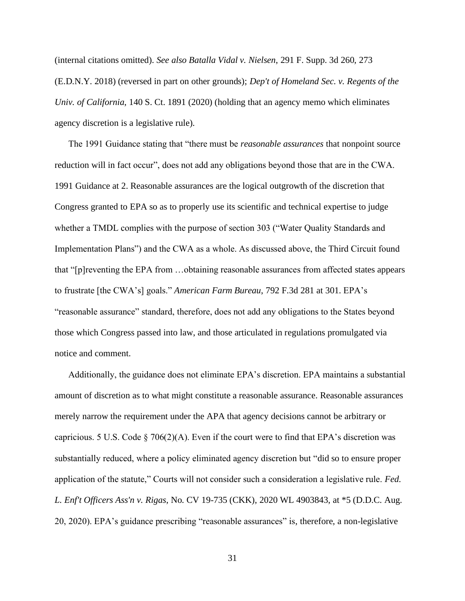(internal citations omitted). *See also Batalla Vidal v. Nielsen*, 291 F. Supp. 3d 260, 273 (E.D.N.Y. 2018) (reversed in part on other grounds); *Dep't of Homeland Sec. v. Regents of the Univ. of California*, 140 S. Ct. 1891 (2020) (holding that an agency memo which eliminates agency discretion is a legislative rule).

The 1991 Guidance stating that "there must be *reasonable assurances* that nonpoint source reduction will in fact occur", does not add any obligations beyond those that are in the CWA. 1991 Guidance at 2. Reasonable assurances are the logical outgrowth of the discretion that Congress granted to EPA so as to properly use its scientific and technical expertise to judge whether a TMDL complies with the purpose of section 303 ("Water Quality Standards and Implementation Plans") and the CWA as a whole. As discussed above, the Third Circuit found that "[p]reventing the EPA from …obtaining reasonable assurances from affected states appears to frustrate [the CWA's] goals." *American Farm Bureau*, 792 F.3d 281 at 301. EPA's "reasonable assurance" standard, therefore, does not add any obligations to the States beyond those which Congress passed into law, and those articulated in regulations promulgated via notice and comment.

Additionally, the guidance does not eliminate EPA's discretion. EPA maintains a substantial amount of discretion as to what might constitute a reasonable assurance. Reasonable assurances merely narrow the requirement under the APA that agency decisions cannot be arbitrary or capricious. 5 U.S. Code  $\S$  706(2)(A). Even if the court were to find that EPA's discretion was substantially reduced, where a policy eliminated agency discretion but "did so to ensure proper application of the statute," Courts will not consider such a consideration a legislative rule. *Fed. L. Enf't Officers Ass'n v. Rigas*, No. CV 19-735 (CKK), 2020 WL 4903843, at \*5 (D.D.C. Aug. 20, 2020). EPA's guidance prescribing "reasonable assurances" is, therefore, a non-legislative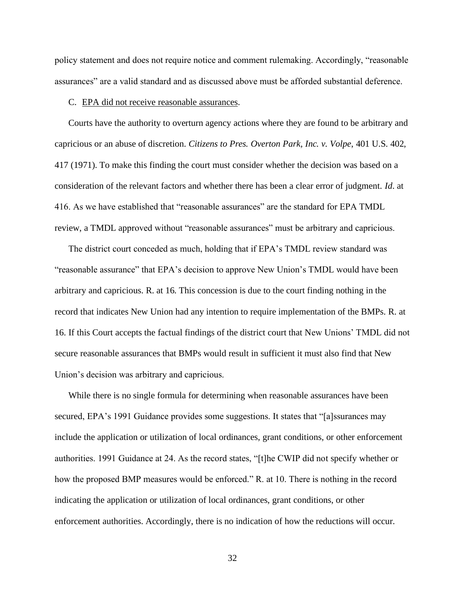policy statement and does not require notice and comment rulemaking. Accordingly, "reasonable assurances" are a valid standard and as discussed above must be afforded substantial deference.

#### C. EPA did not receive reasonable assurances.

Courts have the authority to overturn agency actions where they are found to be arbitrary and capricious or an abuse of discretion. *Citizens to Pres. Overton Park, Inc. v. Volpe*, 401 U.S. 402, 417 (1971). To make this finding the court must consider whether the decision was based on a consideration of the relevant factors and whether there has been a clear error of judgment. *Id*. at 416. As we have established that "reasonable assurances" are the standard for EPA TMDL review, a TMDL approved without "reasonable assurances" must be arbitrary and capricious.

The district court conceded as much, holding that if EPA's TMDL review standard was "reasonable assurance" that EPA's decision to approve New Union's TMDL would have been arbitrary and capricious. R. at 16. This concession is due to the court finding nothing in the record that indicates New Union had any intention to require implementation of the BMPs. R. at 16. If this Court accepts the factual findings of the district court that New Unions' TMDL did not secure reasonable assurances that BMPs would result in sufficient it must also find that New Union's decision was arbitrary and capricious.

While there is no single formula for determining when reasonable assurances have been secured, EPA's 1991 Guidance provides some suggestions. It states that "[a]ssurances may include the application or utilization of local ordinances, grant conditions, or other enforcement authorities. 1991 Guidance at 24. As the record states, "[t]he CWIP did not specify whether or how the proposed BMP measures would be enforced." R. at 10. There is nothing in the record indicating the application or utilization of local ordinances, grant conditions, or other enforcement authorities. Accordingly, there is no indication of how the reductions will occur.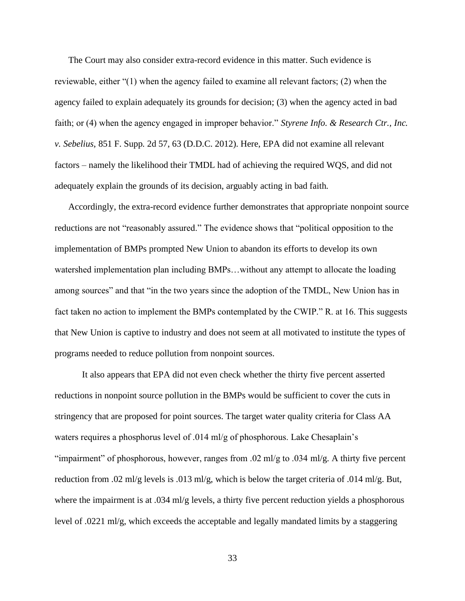The Court may also consider extra-record evidence in this matter. Such evidence is reviewable, either "(1) when the agency failed to examine all relevant factors; (2) when the agency failed to explain adequately its grounds for decision; (3) when the agency acted in bad faith; or (4) when the agency engaged in improper behavior." *Styrene Info. & Research Ctr., Inc. v. Sebelius*, 851 F. Supp. 2d 57, 63 (D.D.C. 2012). Here, EPA did not examine all relevant factors – namely the likelihood their TMDL had of achieving the required WQS, and did not adequately explain the grounds of its decision, arguably acting in bad faith.

Accordingly, the extra-record evidence further demonstrates that appropriate nonpoint source reductions are not "reasonably assured." The evidence shows that "political opposition to the implementation of BMPs prompted New Union to abandon its efforts to develop its own watershed implementation plan including BMPs…without any attempt to allocate the loading among sources" and that "in the two years since the adoption of the TMDL, New Union has in fact taken no action to implement the BMPs contemplated by the CWIP." R. at 16. This suggests that New Union is captive to industry and does not seem at all motivated to institute the types of programs needed to reduce pollution from nonpoint sources.

It also appears that EPA did not even check whether the thirty five percent asserted reductions in nonpoint source pollution in the BMPs would be sufficient to cover the cuts in stringency that are proposed for point sources. The target water quality criteria for Class AA waters requires a phosphorus level of .014 ml/g of phosphorous. Lake Chesaplain's "impairment" of phosphorous, however, ranges from .02 ml/g to .034 ml/g. A thirty five percent reduction from .02 ml/g levels is .013 ml/g, which is below the target criteria of .014 ml/g. But, where the impairment is at .034 ml/g levels, a thirty five percent reduction yields a phosphorous level of .0221 ml/g, which exceeds the acceptable and legally mandated limits by a staggering